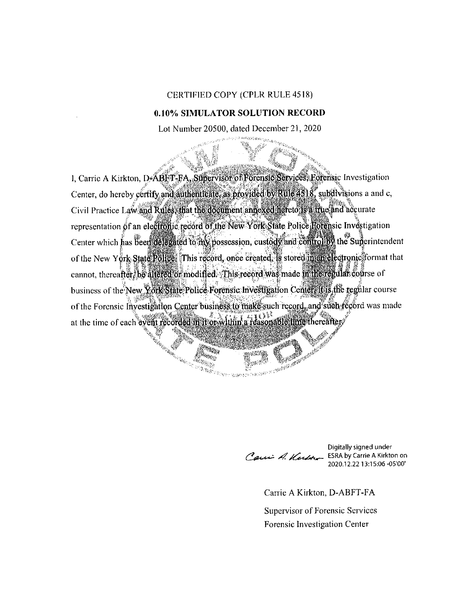## CERTIFIED COPY (CPLR RULE 4518)

## **0.10% SIMULATOR SOLUTION RECORD**

Lot Number 20500, dated December 21, 2020

XV.

1, Carrie A Kirkton, D-ABET-FA, Supervisor of Forensic Services, Forensic Investigation Center, do hereby certify and authenticate, as provided by Rule 4518, subdivisions a and c, Civil Practice Law and Rules, that the document annexed hereto is a true and accurate representation of an electronic record of the New York State Police Rorensic Investigation Center which has been delegated to my possession, custody and controlliby the Superintendent of the New York State Rollee. This record, once created, is stored in an electronic format that cannot, thereafter, be altered or modified. This record was made in the regular course of business of the New York State Police Forensic Investigation Center. It is the regular course of the Forensic Investigation Center business to make such record, and such record was made at the time of each event recorded in it or within a reasonable time thereafter.

Carri A. Kerbourn

AND CONTRACTOR

Digitally signed under **ESRA by Carrie A Kirkton on** 2020.12.22 13:15:06 -05'00'

Carrie A Kirkton, D-ABFT-FA

**COLLECTED** 

**Supervisor of Forensic Services** Forensic Investigation Center